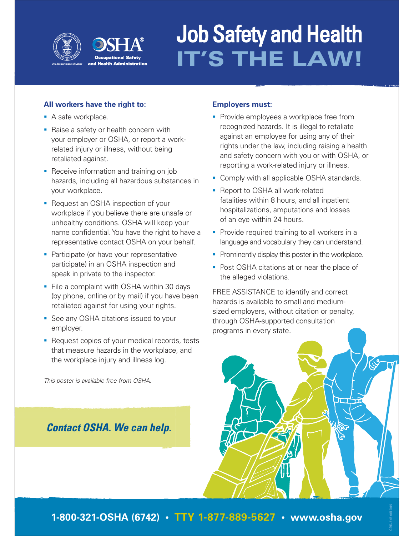

# Job Safety and Health **IT'S THE LAW!**

### **All workers have the right to:**

- A safe workplace.
- Raise a safety or health concern with your employer or OSHA, or report a workrelated injury or illness, without being retaliated against.
- **Receive information and training on job** hazards, including all hazardous substances in your workplace.
- Request an OSHA inspection of your workplace if you believe there are unsafe or unhealthy conditions. OSHA will keep your name confidential. You have the right to have a representative contact OSHA on your behalf.
- **Participate (or have your representative** participate) in an OSHA inspection and speak in private to the inspector.
- **File a complaint with OSHA within 30 days** (by phone, online or by mail) if you have been retaliated against for using your rights.
- See any OSHA citations issued to your employer.
- Request copies of your medical records, tests that measure hazards in the workplace, and the workplace injury and illness log.

This poster is available free from OSHA.

## *Contact OSHA. We can help.*

## **Employers must:**

- **Provide employees a workplace free from** recognized hazards. It is illegal to retaliate against an employee for using any of their rights under the law, including raising a health and safety concern with you or with OSHA, or reporting a work-related injury or illness.
- **Comply with all applicable OSHA standards.**
- Report to OSHA all work-related fatalities within 8 hours, and all inpatient hospitalizations, amputations and losses of an eye within 24 hours.
- **Provide required training to all workers in a** language and vocabulary they can understand.
- **Prominently display this poster in the workplace.**
- Post OSHA citations at or near the place of the alleged violations.

FREE ASSISTANCE to identify and correct hazards is available to small and mediumsized employers, without citation or penalty, through OSHA-supported consultation programs in every state.



OSHA 3165-04R 2015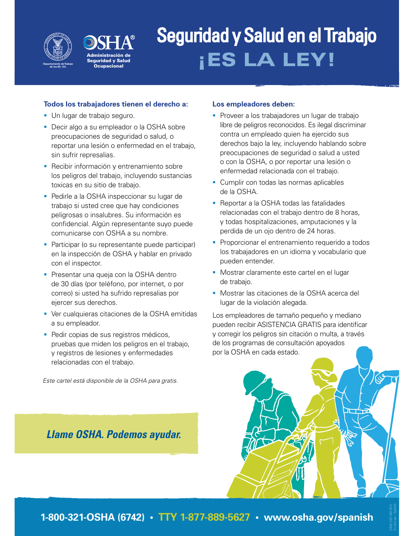



## Seguridad y Salud en el Trabajo **¡ES LA LEY!**

### **Todos los trabajadores tienen el derecho a:**

- Un lugar de trabajo seguro.
- Decir algo a su empleador o la OSHA sobre preocupaciones de seguridad o salud, o reportar una lesión o enfermedad en el trabajo, sin sufrir represalias.
- **-** Recibir información y entrenamiento sobre los peligros del trabajo, incluyendo sustancias toxicas en su sitio de trabajo.
- **Pedirle a la OSHA inspeccionar su lugar de** trabajo si usted cree que hay condiciones peligrosas o insalubres. Su información es confidencial. Algún representante suyo puede comunicarse con OSHA a su nombre.
- **Participar (o su representante puede participar)** en la inspección de OSHA y hablar en privado con el inspector.
- **Presentar una queja con la OSHA dentro** de 30 días (por teléfono, por internet, o por correo) si usted ha sufrido represalias por ejercer sus derechos.
- Ver cualquieras citaciones de la OSHA emitidas a su empleador.
- **Pedir copias de sus registros médicos,** pruebas que miden los peligros en el trabajo, y registros de lesiones y enfermedades relacionadas con el trabajo.

Este cartel está disponible de la OSHA para gratis.

## *Llame OSHA. Podemos ayudar.*

### **Los empleadores deben:**

- **Proveer a los trabajadores un lugar de trabajo** libre de peligros reconocidos. Es ilegal discriminar contra un empleado quien ha ejercido sus derechos bajo la ley, incluyendo hablando sobre preocupaciones de seguridad o salud a usted o con la OSHA, o por reportar una lesión o enfermedad relacionada con el trabajo.
- **Cumplir con todas las normas aplicables** de la OSHA.
- Reportar a la OSHA todas las fatalidades relacionadas con el trabajo dentro de 8 horas, y todas hospitalizaciones, amputaciones y la perdida de un ojo dentro de 24 horas.
- **Proporcionar el entrenamiento requerido a todos** los trabajadores en un idioma y vocabulario que pueden entender.
- **Mostrar claramente este cartel en el lugar** de trabajo.
- Mostrar las citaciones de la OSHA acerca del lugar de la violación alegada.

Los empleadores de tamaño pequeño y mediano pueden recibir ASISTENCIA GRATIS para identificar y corregir los peligros sin citación o multa, a través de los programas de consultación apoyados por la OSHA en cada estado.

OSHA 3167-04R 2015

**1-800-321-OSHA (6742) • TTY 1-877-889-5627 • www.osha.gov/spanish**